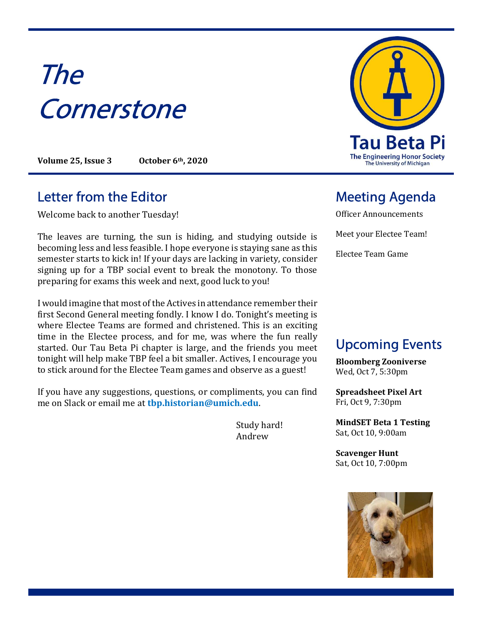# The **Cornerstone**

Volume 25, Issue 3 October 6th, 2020

#### Letter from the Editor **Meeting Agenda**

Welcome back to another Tuesday!

The leaves are turning, the sun is hiding, and studying outside is becoming less and less feasible. I hope everyone is staying sane as this semester starts to kick in! If your days are lacking in variety, consider signing up for a TBP social event to break the monotony. To those preparing for exams this week and next, good luck to you!

I would imagine that most of the Actives in attendance remember their first Second General meeting fondly. I know I do. Tonight's meeting is where Electee Teams are formed and christened. This is an exciting time in the Electee process, and for me, was where the fun really started. Our Tau Beta Pi chapter is large, and the friends you meet tonight will help make TBP feel a bit smaller. Actives, I encourage you to stick around for the Electee Team games and observe as a guest!

If you have any suggestions, questions, or compliments, you can find me on Slack or email me at tbp.historian@umich.edu.

> Study hard! Andrew



Officer Announcements Meet your Electee Team! Electee Team Game

# Upcoming Events

Bloomberg Zooniverse Wed, Oct 7, 5:30pm

Spreadsheet Pixel Art Fri, Oct 9, 7:30pm

MindSET Beta 1 Testing Sat, Oct 10, 9:00am

Scavenger Hunt Sat, Oct 10, 7:00pm